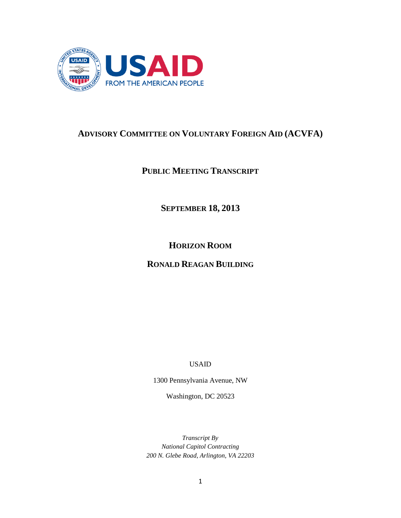

# **ADVISORY COMMITTEE ON VOLUNTARY FOREIGN AID (ACVFA)**

# **PUBLIC MEETING TRANSCRIPT**

**SEPTEMBER 18, 2013**

**HORIZON ROOM**

# **RONALD REAGAN BUILDING**

USAID

1300 Pennsylvania Avenue, NW

Washington, DC 20523

*Transcript By National Capitol Contracting 200 N. Glebe Road, Arlington, VA 22203*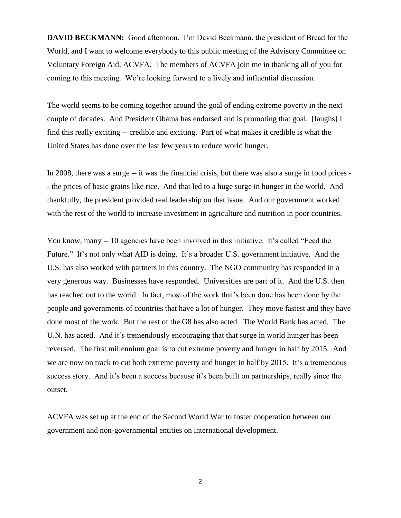**DAVID BECKMANN:** Good afternoon. I'm David Beckmann, the president of Bread for the World, and I want to welcome everybody to this public meeting of the Advisory Committee on Voluntary Foreign Aid, ACVFA. The members of ACVFA join me in thanking all of you for coming to this meeting. We're looking forward to a lively and influential discussion.

The world seems to be coming together around the goal of ending extreme poverty in the next couple of decades. And President Obama has endorsed and is promoting that goal. [laughs] I find this really exciting -- credible and exciting. Part of what makes it credible is what the United States has done over the last few years to reduce world hunger.

In 2008, there was a surge -- it was the financial crisis, but there was also a surge in food prices - - the prices of basic grains like rice. And that led to a huge surge in hunger in the world. And thankfully, the president provided real leadership on that issue. And our government worked with the rest of the world to increase investment in agriculture and nutrition in poor countries.

You know, many -- 10 agencies have been involved in this initiative. It's called "Feed the Future." It's not only what AID is doing. It's a broader U.S. government initiative. And the U.S. has also worked with partners in this country. The NGO community has responded in a very generous way. Businesses have responded. Universities are part of it. And the U.S. then has reached out to the world. In fact, most of the work that's been done has been done by the people and governments of countries that have a lot of hunger. They move fastest and they have done most of the work. But the rest of the G8 has also acted. The World Bank has acted. The U.N. has acted. And it's tremendously encouraging that that surge in world hunger has been reversed. The first millennium goal is to cut extreme poverty and hunger in half by 2015. And we are now on track to cut both extreme poverty and hunger in half by 2015. It's a tremendous success story. And it's been a success because it's been built on partnerships, really since the outset.

ACVFA was set up at the end of the Second World War to foster cooperation between our government and non-governmental entities on international development.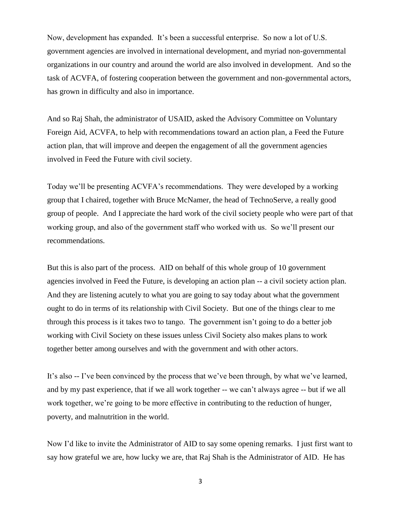Now, development has expanded. It's been a successful enterprise. So now a lot of U.S. government agencies are involved in international development, and myriad non-governmental organizations in our country and around the world are also involved in development. And so the task of ACVFA, of fostering cooperation between the government and non-governmental actors, has grown in difficulty and also in importance.

And so Raj Shah, the administrator of USAID, asked the Advisory Committee on Voluntary Foreign Aid, ACVFA, to help with recommendations toward an action plan, a Feed the Future action plan, that will improve and deepen the engagement of all the government agencies involved in Feed the Future with civil society.

Today we'll be presenting ACVFA's recommendations. They were developed by a working group that I chaired, together with Bruce McNamer, the head of TechnoServe, a really good group of people. And I appreciate the hard work of the civil society people who were part of that working group, and also of the government staff who worked with us. So we'll present our recommendations.

But this is also part of the process. AID on behalf of this whole group of 10 government agencies involved in Feed the Future, is developing an action plan -- a civil society action plan. And they are listening acutely to what you are going to say today about what the government ought to do in terms of its relationship with Civil Society. But one of the things clear to me through this process is it takes two to tango. The government isn't going to do a better job working with Civil Society on these issues unless Civil Society also makes plans to work together better among ourselves and with the government and with other actors.

It's also -- I've been convinced by the process that we've been through, by what we've learned, and by my past experience, that if we all work together -- we can't always agree -- but if we all work together, we're going to be more effective in contributing to the reduction of hunger, poverty, and malnutrition in the world.

Now I'd like to invite the Administrator of AID to say some opening remarks. I just first want to say how grateful we are, how lucky we are, that Raj Shah is the Administrator of AID. He has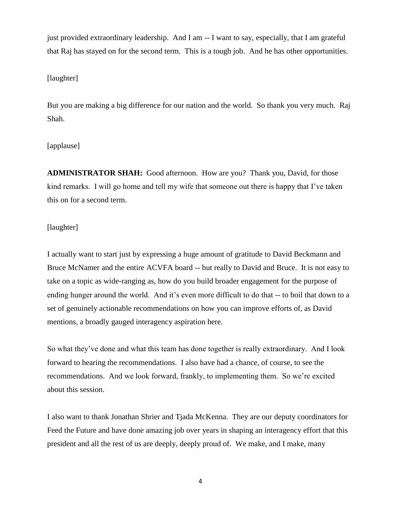just provided extraordinary leadership. And I am -- I want to say, especially, that I am grateful that Raj has stayed on for the second term. This is a tough job. And he has other opportunities.

## [laughter]

But you are making a big difference for our nation and the world. So thank you very much. Raj Shah.

# [applause]

**ADMINISTRATOR SHAH:** Good afternoon. How are you? Thank you, David, for those kind remarks. I will go home and tell my wife that someone out there is happy that I've taken this on for a second term.

# [laughter]

I actually want to start just by expressing a huge amount of gratitude to David Beckmann and Bruce McNamer and the entire ACVFA board -- but really to David and Bruce. It is not easy to take on a topic as wide-ranging as, how do you build broader engagement for the purpose of ending hunger around the world. And it's even more difficult to do that -- to boil that down to a set of genuinely actionable recommendations on how you can improve efforts of, as David mentions, a broadly gauged interagency aspiration here.

So what they've done and what this team has done together is really extraordinary. And I look forward to hearing the recommendations. I also have had a chance, of course, to see the recommendations. And we look forward, frankly, to implementing them. So we're excited about this session.

I also want to thank Jonathan Shrier and Tjada McKenna. They are our deputy coordinators for Feed the Future and have done amazing job over years in shaping an interagency effort that this president and all the rest of us are deeply, deeply proud of. We make, and I make, many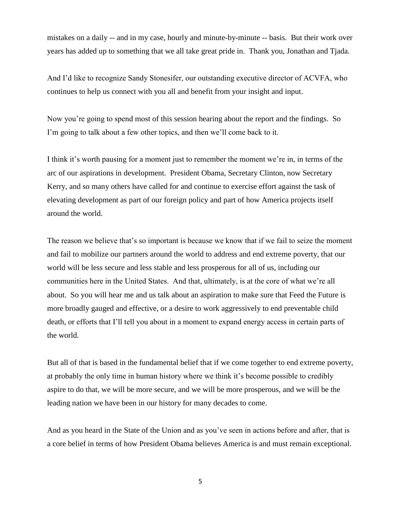mistakes on a daily -- and in my case, hourly and minute-by-minute -- basis. But their work over years has added up to something that we all take great pride in. Thank you, Jonathan and Tjada.

And I'd like to recognize Sandy Stonesifer, our outstanding executive director of ACVFA, who continues to help us connect with you all and benefit from your insight and input.

Now you're going to spend most of this session hearing about the report and the findings. So I'm going to talk about a few other topics, and then we'll come back to it.

I think it's worth pausing for a moment just to remember the moment we're in, in terms of the arc of our aspirations in development. President Obama, Secretary Clinton, now Secretary Kerry, and so many others have called for and continue to exercise effort against the task of elevating development as part of our foreign policy and part of how America projects itself around the world.

The reason we believe that's so important is because we know that if we fail to seize the moment and fail to mobilize our partners around the world to address and end extreme poverty, that our world will be less secure and less stable and less prosperous for all of us, including our communities here in the United States. And that, ultimately, is at the core of what we're all about. So you will hear me and us talk about an aspiration to make sure that Feed the Future is more broadly gauged and effective, or a desire to work aggressively to end preventable child death, or efforts that I'll tell you about in a moment to expand energy access in certain parts of the world.

But all of that is based in the fundamental belief that if we come together to end extreme poverty, at probably the only time in human history where we think it's become possible to credibly aspire to do that, we will be more secure, and we will be more prosperous, and we will be the leading nation we have been in our history for many decades to come.

And as you heard in the State of the Union and as you've seen in actions before and after, that is a core belief in terms of how President Obama believes America is and must remain exceptional.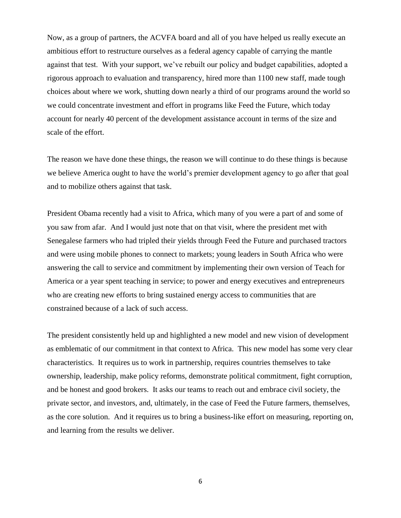Now, as a group of partners, the ACVFA board and all of you have helped us really execute an ambitious effort to restructure ourselves as a federal agency capable of carrying the mantle against that test. With your support, we've rebuilt our policy and budget capabilities, adopted a rigorous approach to evaluation and transparency, hired more than 1100 new staff, made tough choices about where we work, shutting down nearly a third of our programs around the world so we could concentrate investment and effort in programs like Feed the Future, which today account for nearly 40 percent of the development assistance account in terms of the size and scale of the effort.

The reason we have done these things, the reason we will continue to do these things is because we believe America ought to have the world's premier development agency to go after that goal and to mobilize others against that task.

President Obama recently had a visit to Africa, which many of you were a part of and some of you saw from afar. And I would just note that on that visit, where the president met with Senegalese farmers who had tripled their yields through Feed the Future and purchased tractors and were using mobile phones to connect to markets; young leaders in South Africa who were answering the call to service and commitment by implementing their own version of Teach for America or a year spent teaching in service; to power and energy executives and entrepreneurs who are creating new efforts to bring sustained energy access to communities that are constrained because of a lack of such access.

The president consistently held up and highlighted a new model and new vision of development as emblematic of our commitment in that context to Africa. This new model has some very clear characteristics. It requires us to work in partnership, requires countries themselves to take ownership, leadership, make policy reforms, demonstrate political commitment, fight corruption, and be honest and good brokers. It asks our teams to reach out and embrace civil society, the private sector, and investors, and, ultimately, in the case of Feed the Future farmers, themselves, as the core solution. And it requires us to bring a business-like effort on measuring, reporting on, and learning from the results we deliver.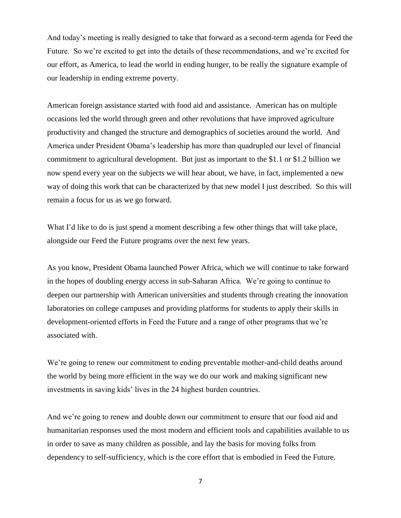And today's meeting is really designed to take that forward as a second-term agenda for Feed the Future. So we're excited to get into the details of these recommendations, and we're excited for our effort, as America, to lead the world in ending hunger, to be really the signature example of our leadership in ending extreme poverty.

American foreign assistance started with food aid and assistance. American has on multiple occasions led the world through green and other revolutions that have improved agriculture productivity and changed the structure and demographics of societies around the world. And America under President Obama's leadership has more than quadrupled our level of financial commitment to agricultural development. But just as important to the \$1.1 or \$1.2 billion we now spend every year on the subjects we will hear about, we have, in fact, implemented a new way of doing this work that can be characterized by that new model I just described. So this will remain a focus for us as we go forward.

What I'd like to do is just spend a moment describing a few other things that will take place, alongside our Feed the Future programs over the next few years.

As you know, President Obama launched Power Africa, which we will continue to take forward in the hopes of doubling energy access in sub-Saharan Africa. We're going to continue to deepen our partnership with American universities and students through creating the innovation laboratories on college campuses and providing platforms for students to apply their skills in development-oriented efforts in Feed the Future and a range of other programs that we're associated with.

We're going to renew our commitment to ending preventable mother-and-child deaths around the world by being more efficient in the way we do our work and making significant new investments in saving kids' lives in the 24 highest burden countries.

And we're going to renew and double down our commitment to ensure that our food aid and humanitarian responses used the most modern and efficient tools and capabilities available to us in order to save as many children as possible, and lay the basis for moving folks from dependency to self-sufficiency, which is the core effort that is embodied in Feed the Future.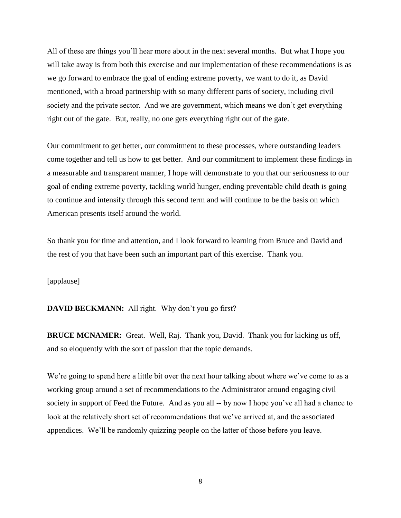All of these are things you'll hear more about in the next several months. But what I hope you will take away is from both this exercise and our implementation of these recommendations is as we go forward to embrace the goal of ending extreme poverty, we want to do it, as David mentioned, with a broad partnership with so many different parts of society, including civil society and the private sector. And we are government, which means we don't get everything right out of the gate. But, really, no one gets everything right out of the gate.

Our commitment to get better, our commitment to these processes, where outstanding leaders come together and tell us how to get better. And our commitment to implement these findings in a measurable and transparent manner, I hope will demonstrate to you that our seriousness to our goal of ending extreme poverty, tackling world hunger, ending preventable child death is going to continue and intensify through this second term and will continue to be the basis on which American presents itself around the world.

So thank you for time and attention, and I look forward to learning from Bruce and David and the rest of you that have been such an important part of this exercise. Thank you.

[applause]

**DAVID BECKMANN:** All right. Why don't you go first?

**BRUCE MCNAMER:** Great. Well, Raj. Thank you, David. Thank you for kicking us off, and so eloquently with the sort of passion that the topic demands.

We're going to spend here a little bit over the next hour talking about where we've come to as a working group around a set of recommendations to the Administrator around engaging civil society in support of Feed the Future. And as you all -- by now I hope you've all had a chance to look at the relatively short set of recommendations that we've arrived at, and the associated appendices. We'll be randomly quizzing people on the latter of those before you leave.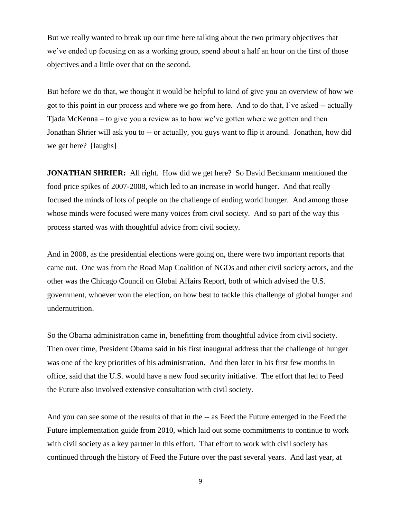But we really wanted to break up our time here talking about the two primary objectives that we've ended up focusing on as a working group, spend about a half an hour on the first of those objectives and a little over that on the second.

But before we do that, we thought it would be helpful to kind of give you an overview of how we got to this point in our process and where we go from here. And to do that, I've asked -- actually Tjada McKenna – to give you a review as to how we've gotten where we gotten and then Jonathan Shrier will ask you to -- or actually, you guys want to flip it around. Jonathan, how did we get here? [laughs]

**JONATHAN SHRIER:** All right. How did we get here? So David Beckmann mentioned the food price spikes of 2007-2008, which led to an increase in world hunger. And that really focused the minds of lots of people on the challenge of ending world hunger. And among those whose minds were focused were many voices from civil society. And so part of the way this process started was with thoughtful advice from civil society.

And in 2008, as the presidential elections were going on, there were two important reports that came out. One was from the Road Map Coalition of NGOs and other civil society actors, and the other was the Chicago Council on Global Affairs Report, both of which advised the U.S. government, whoever won the election, on how best to tackle this challenge of global hunger and undernutrition.

So the Obama administration came in, benefitting from thoughtful advice from civil society. Then over time, President Obama said in his first inaugural address that the challenge of hunger was one of the key priorities of his administration. And then later in his first few months in office, said that the U.S. would have a new food security initiative. The effort that led to Feed the Future also involved extensive consultation with civil society.

And you can see some of the results of that in the -- as Feed the Future emerged in the Feed the Future implementation guide from 2010, which laid out some commitments to continue to work with civil society as a key partner in this effort. That effort to work with civil society has continued through the history of Feed the Future over the past several years. And last year, at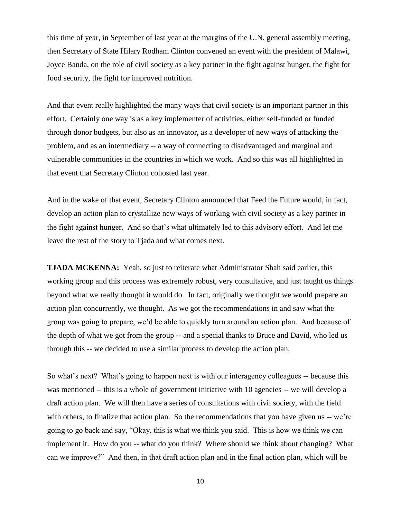this time of year, in September of last year at the margins of the U.N. general assembly meeting, then Secretary of State Hilary Rodham Clinton convened an event with the president of Malawi, Joyce Banda, on the role of civil society as a key partner in the fight against hunger, the fight for food security, the fight for improved nutrition.

And that event really highlighted the many ways that civil society is an important partner in this effort. Certainly one way is as a key implementer of activities, either self-funded or funded through donor budgets, but also as an innovator, as a developer of new ways of attacking the problem, and as an intermediary -- a way of connecting to disadvantaged and marginal and vulnerable communities in the countries in which we work. And so this was all highlighted in that event that Secretary Clinton cohosted last year.

And in the wake of that event, Secretary Clinton announced that Feed the Future would, in fact, develop an action plan to crystallize new ways of working with civil society as a key partner in the fight against hunger. And so that's what ultimately led to this advisory effort. And let me leave the rest of the story to Tjada and what comes next.

**TJADA MCKENNA:** Yeah, so just to reiterate what Administrator Shah said earlier, this working group and this process was extremely robust, very consultative, and just taught us things beyond what we really thought it would do. In fact, originally we thought we would prepare an action plan concurrently, we thought. As we got the recommendations in and saw what the group was going to prepare, we'd be able to quickly turn around an action plan. And because of the depth of what we got from the group -- and a special thanks to Bruce and David, who led us through this -- we decided to use a similar process to develop the action plan.

So what's next? What's going to happen next is with our interagency colleagues -- because this was mentioned -- this is a whole of government initiative with 10 agencies -- we will develop a draft action plan. We will then have a series of consultations with civil society, with the field with others, to finalize that action plan. So the recommendations that you have given us -- we're going to go back and say, "Okay, this is what we think you said. This is how we think we can implement it. How do you -- what do you think? Where should we think about changing? What can we improve?" And then, in that draft action plan and in the final action plan, which will be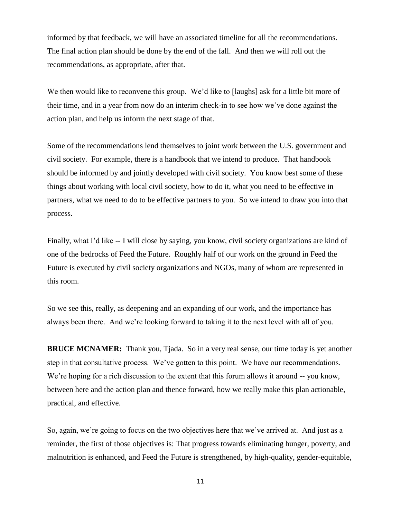informed by that feedback, we will have an associated timeline for all the recommendations. The final action plan should be done by the end of the fall. And then we will roll out the recommendations, as appropriate, after that.

We then would like to reconvene this group. We'd like to [laughs] ask for a little bit more of their time, and in a year from now do an interim check-in to see how we've done against the action plan, and help us inform the next stage of that.

Some of the recommendations lend themselves to joint work between the U.S. government and civil society. For example, there is a handbook that we intend to produce. That handbook should be informed by and jointly developed with civil society. You know best some of these things about working with local civil society, how to do it, what you need to be effective in partners, what we need to do to be effective partners to you. So we intend to draw you into that process.

Finally, what I'd like -- I will close by saying, you know, civil society organizations are kind of one of the bedrocks of Feed the Future. Roughly half of our work on the ground in Feed the Future is executed by civil society organizations and NGOs, many of whom are represented in this room.

So we see this, really, as deepening and an expanding of our work, and the importance has always been there. And we're looking forward to taking it to the next level with all of you.

**BRUCE MCNAMER:** Thank you, Tjada. So in a very real sense, our time today is yet another step in that consultative process. We've gotten to this point. We have our recommendations. We're hoping for a rich discussion to the extent that this forum allows it around -- you know, between here and the action plan and thence forward, how we really make this plan actionable, practical, and effective.

So, again, we're going to focus on the two objectives here that we've arrived at. And just as a reminder, the first of those objectives is: That progress towards eliminating hunger, poverty, and malnutrition is enhanced, and Feed the Future is strengthened, by high-quality, gender-equitable,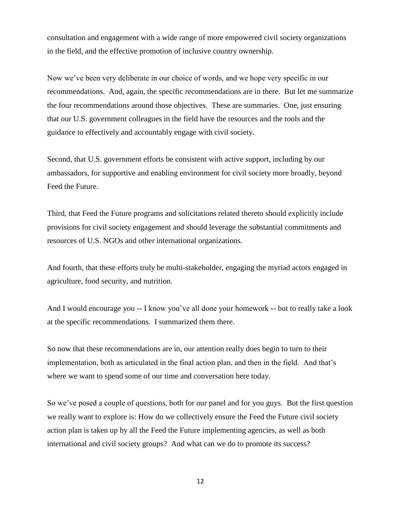consultation and engagement with a wide range of more empowered civil society organizations in the field, and the effective promotion of inclusive country ownership.

Now we've been very deliberate in our choice of words, and we hope very specific in our recommendations. And, again, the specific recommendations are in there. But let me summarize the four recommendations around those objectives. These are summaries. One, just ensuring that our U.S. government colleagues in the field have the resources and the tools and the guidance to effectively and accountably engage with civil society.

Second, that U.S. government efforts be consistent with active support, including by our ambassadors, for supportive and enabling environment for civil society more broadly, beyond Feed the Future.

Third, that Feed the Future programs and solicitations related thereto should explicitly include provisions for civil society engagement and should leverage the substantial commitments and resources of U.S. NGOs and other international organizations.

And fourth, that these efforts truly be multi-stakeholder, engaging the myriad actors engaged in agriculture, food security, and nutrition.

And I would encourage you -- I know you've all done your homework -- but to really take a look at the specific recommendations. I summarized them there.

So now that these recommendations are in, our attention really does begin to turn to their implementation, both as articulated in the final action plan, and then in the field. And that's where we want to spend some of our time and conversation here today.

So we've posed a couple of questions, both for our panel and for you guys. But the first question we really want to explore is: How do we collectively ensure the Feed the Future civil society action plan is taken up by all the Feed the Future implementing agencies, as well as both international and civil society groups? And what can we do to promote its success?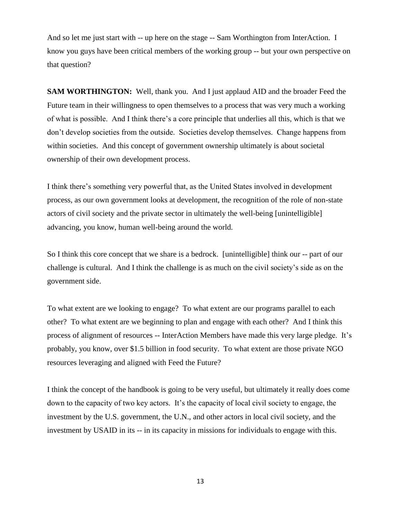And so let me just start with -- up here on the stage -- Sam Worthington from InterAction. I know you guys have been critical members of the working group -- but your own perspective on that question?

**SAM WORTHINGTON:** Well, thank you. And I just applaud AID and the broader Feed the Future team in their willingness to open themselves to a process that was very much a working of what is possible. And I think there's a core principle that underlies all this, which is that we don't develop societies from the outside. Societies develop themselves. Change happens from within societies. And this concept of government ownership ultimately is about societal ownership of their own development process.

I think there's something very powerful that, as the United States involved in development process, as our own government looks at development, the recognition of the role of non-state actors of civil society and the private sector in ultimately the well-being [unintelligible] advancing, you know, human well-being around the world.

So I think this core concept that we share is a bedrock. [unintelligible] think our -- part of our challenge is cultural. And I think the challenge is as much on the civil society's side as on the government side.

To what extent are we looking to engage? To what extent are our programs parallel to each other? To what extent are we beginning to plan and engage with each other? And I think this process of alignment of resources -- InterAction Members have made this very large pledge. It's probably, you know, over \$1.5 billion in food security. To what extent are those private NGO resources leveraging and aligned with Feed the Future?

I think the concept of the handbook is going to be very useful, but ultimately it really does come down to the capacity of two key actors. It's the capacity of local civil society to engage, the investment by the U.S. government, the U.N., and other actors in local civil society, and the investment by USAID in its -- in its capacity in missions for individuals to engage with this.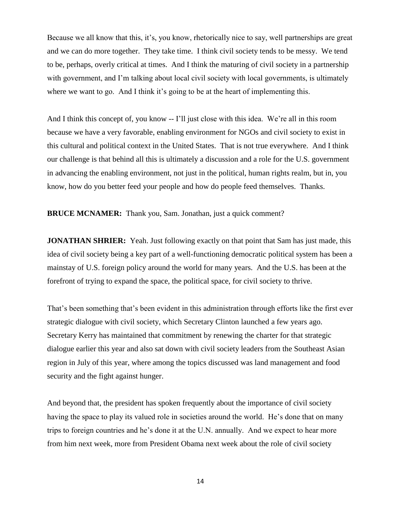Because we all know that this, it's, you know, rhetorically nice to say, well partnerships are great and we can do more together. They take time. I think civil society tends to be messy. We tend to be, perhaps, overly critical at times. And I think the maturing of civil society in a partnership with government, and I'm talking about local civil society with local governments, is ultimately where we want to go. And I think it's going to be at the heart of implementing this.

And I think this concept of, you know -- I'll just close with this idea. We're all in this room because we have a very favorable, enabling environment for NGOs and civil society to exist in this cultural and political context in the United States. That is not true everywhere. And I think our challenge is that behind all this is ultimately a discussion and a role for the U.S. government in advancing the enabling environment, not just in the political, human rights realm, but in, you know, how do you better feed your people and how do people feed themselves. Thanks.

**BRUCE MCNAMER:** Thank you, Sam. Jonathan, just a quick comment?

**JONATHAN SHRIER:** Yeah. Just following exactly on that point that Sam has just made, this idea of civil society being a key part of a well-functioning democratic political system has been a mainstay of U.S. foreign policy around the world for many years. And the U.S. has been at the forefront of trying to expand the space, the political space, for civil society to thrive.

That's been something that's been evident in this administration through efforts like the first ever strategic dialogue with civil society, which Secretary Clinton launched a few years ago. Secretary Kerry has maintained that commitment by renewing the charter for that strategic dialogue earlier this year and also sat down with civil society leaders from the Southeast Asian region in July of this year, where among the topics discussed was land management and food security and the fight against hunger.

And beyond that, the president has spoken frequently about the importance of civil society having the space to play its valued role in societies around the world. He's done that on many trips to foreign countries and he's done it at the U.N. annually. And we expect to hear more from him next week, more from President Obama next week about the role of civil society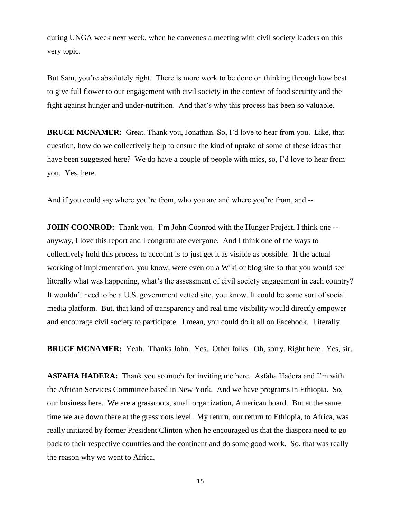during UNGA week next week, when he convenes a meeting with civil society leaders on this very topic.

But Sam, you're absolutely right. There is more work to be done on thinking through how best to give full flower to our engagement with civil society in the context of food security and the fight against hunger and under-nutrition. And that's why this process has been so valuable.

**BRUCE MCNAMER:** Great. Thank you, Jonathan. So, I'd love to hear from you. Like, that question, how do we collectively help to ensure the kind of uptake of some of these ideas that have been suggested here? We do have a couple of people with mics, so, I'd love to hear from you. Yes, here.

And if you could say where you're from, who you are and where you're from, and --

**JOHN COONROD:** Thank you. I'm John Coonrod with the Hunger Project. I think one -anyway, I love this report and I congratulate everyone. And I think one of the ways to collectively hold this process to account is to just get it as visible as possible. If the actual working of implementation, you know, were even on a Wiki or blog site so that you would see literally what was happening, what's the assessment of civil society engagement in each country? It wouldn't need to be a U.S. government vetted site, you know. It could be some sort of social media platform. But, that kind of transparency and real time visibility would directly empower and encourage civil society to participate. I mean, you could do it all on Facebook. Literally.

**BRUCE MCNAMER:** Yeah. Thanks John. Yes. Other folks. Oh, sorry. Right here. Yes, sir.

**ASFAHA HADERA:** Thank you so much for inviting me here. Asfaha Hadera and I'm with the African Services Committee based in New York. And we have programs in Ethiopia. So, our business here. We are a grassroots, small organization, American board. But at the same time we are down there at the grassroots level. My return, our return to Ethiopia, to Africa, was really initiated by former President Clinton when he encouraged us that the diaspora need to go back to their respective countries and the continent and do some good work. So, that was really the reason why we went to Africa.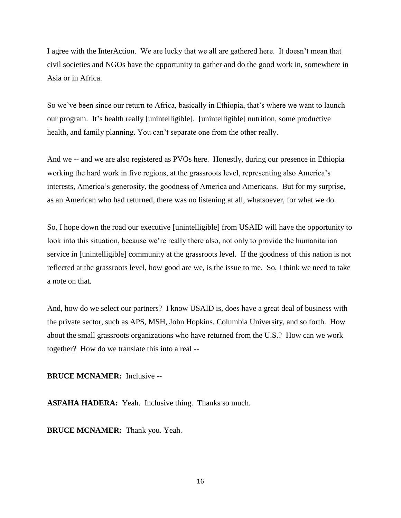I agree with the InterAction. We are lucky that we all are gathered here. It doesn't mean that civil societies and NGOs have the opportunity to gather and do the good work in, somewhere in Asia or in Africa.

So we've been since our return to Africa, basically in Ethiopia, that's where we want to launch our program. It's health really [unintelligible]. [unintelligible] nutrition, some productive health, and family planning. You can't separate one from the other really.

And we -- and we are also registered as PVOs here. Honestly, during our presence in Ethiopia working the hard work in five regions, at the grassroots level, representing also America's interests, America's generosity, the goodness of America and Americans. But for my surprise, as an American who had returned, there was no listening at all, whatsoever, for what we do.

So, I hope down the road our executive [unintelligible] from USAID will have the opportunity to look into this situation, because we're really there also, not only to provide the humanitarian service in [unintelligible] community at the grassroots level. If the goodness of this nation is not reflected at the grassroots level, how good are we, is the issue to me. So, I think we need to take a note on that.

And, how do we select our partners? I know USAID is, does have a great deal of business with the private sector, such as APS, MSH, John Hopkins, Columbia University, and so forth. How about the small grassroots organizations who have returned from the U.S.? How can we work together? How do we translate this into a real --

**BRUCE MCNAMER:** Inclusive --

**ASFAHA HADERA:** Yeah. Inclusive thing. Thanks so much.

**BRUCE MCNAMER:** Thank you. Yeah.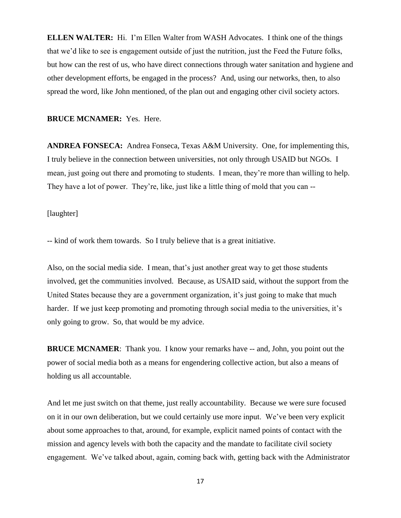**ELLEN WALTER:** Hi. I'm Ellen Walter from WASH Advocates. I think one of the things that we'd like to see is engagement outside of just the nutrition, just the Feed the Future folks, but how can the rest of us, who have direct connections through water sanitation and hygiene and other development efforts, be engaged in the process? And, using our networks, then, to also spread the word, like John mentioned, of the plan out and engaging other civil society actors.

# **BRUCE MCNAMER:** Yes. Here.

**ANDREA FONSECA:** Andrea Fonseca, Texas A&M University. One, for implementing this, I truly believe in the connection between universities, not only through USAID but NGOs. I mean, just going out there and promoting to students. I mean, they're more than willing to help. They have a lot of power. They're, like, just like a little thing of mold that you can --

#### [laughter]

-- kind of work them towards. So I truly believe that is a great initiative.

Also, on the social media side. I mean, that's just another great way to get those students involved, get the communities involved. Because, as USAID said, without the support from the United States because they are a government organization, it's just going to make that much harder. If we just keep promoting and promoting through social media to the universities, it's only going to grow. So, that would be my advice.

**BRUCE MCNAMER**: Thank you. I know your remarks have -- and, John, you point out the power of social media both as a means for engendering collective action, but also a means of holding us all accountable.

And let me just switch on that theme, just really accountability. Because we were sure focused on it in our own deliberation, but we could certainly use more input. We've been very explicit about some approaches to that, around, for example, explicit named points of contact with the mission and agency levels with both the capacity and the mandate to facilitate civil society engagement. We've talked about, again, coming back with, getting back with the Administrator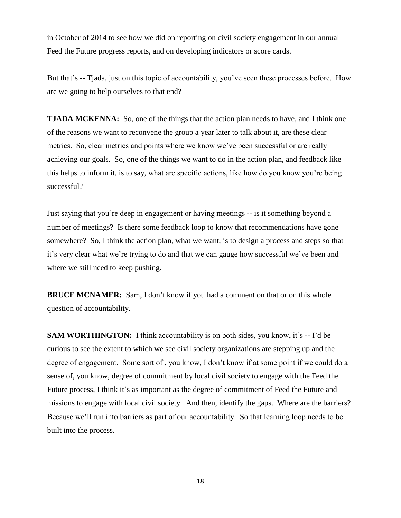in October of 2014 to see how we did on reporting on civil society engagement in our annual Feed the Future progress reports, and on developing indicators or score cards.

But that's -- Tjada, just on this topic of accountability, you've seen these processes before. How are we going to help ourselves to that end?

**TJADA MCKENNA:** So, one of the things that the action plan needs to have, and I think one of the reasons we want to reconvene the group a year later to talk about it, are these clear metrics. So, clear metrics and points where we know we've been successful or are really achieving our goals. So, one of the things we want to do in the action plan, and feedback like this helps to inform it, is to say, what are specific actions, like how do you know you're being successful?

Just saying that you're deep in engagement or having meetings -- is it something beyond a number of meetings? Is there some feedback loop to know that recommendations have gone somewhere? So, I think the action plan, what we want, is to design a process and steps so that it's very clear what we're trying to do and that we can gauge how successful we've been and where we still need to keep pushing.

**BRUCE MCNAMER:** Sam, I don't know if you had a comment on that or on this whole question of accountability.

**SAM WORTHINGTON:** I think accountability is on both sides, you know, it's -- I'd be curious to see the extent to which we see civil society organizations are stepping up and the degree of engagement. Some sort of , you know, I don't know if at some point if we could do a sense of, you know, degree of commitment by local civil society to engage with the Feed the Future process, I think it's as important as the degree of commitment of Feed the Future and missions to engage with local civil society. And then, identify the gaps. Where are the barriers? Because we'll run into barriers as part of our accountability. So that learning loop needs to be built into the process.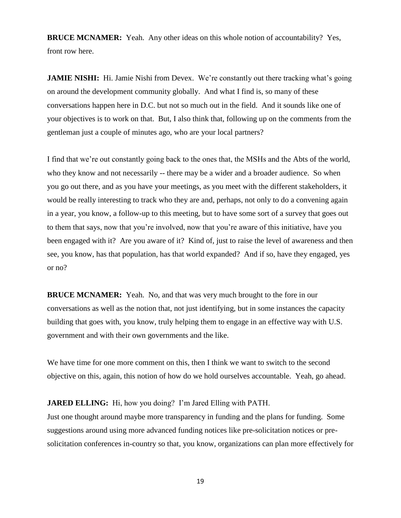**BRUCE MCNAMER:** Yeah. Any other ideas on this whole notion of accountability? Yes, front row here.

**JAMIE NISHI:** Hi. Jamie Nishi from Devex. We're constantly out there tracking what's going on around the development community globally. And what I find is, so many of these conversations happen here in D.C. but not so much out in the field. And it sounds like one of your objectives is to work on that. But, I also think that, following up on the comments from the gentleman just a couple of minutes ago, who are your local partners?

I find that we're out constantly going back to the ones that, the MSHs and the Abts of the world, who they know and not necessarily -- there may be a wider and a broader audience. So when you go out there, and as you have your meetings, as you meet with the different stakeholders, it would be really interesting to track who they are and, perhaps, not only to do a convening again in a year, you know, a follow-up to this meeting, but to have some sort of a survey that goes out to them that says, now that you're involved, now that you're aware of this initiative, have you been engaged with it? Are you aware of it? Kind of, just to raise the level of awareness and then see, you know, has that population, has that world expanded? And if so, have they engaged, yes or no?

**BRUCE MCNAMER:** Yeah. No, and that was very much brought to the fore in our conversations as well as the notion that, not just identifying, but in some instances the capacity building that goes with, you know, truly helping them to engage in an effective way with U.S. government and with their own governments and the like.

We have time for one more comment on this, then I think we want to switch to the second objective on this, again, this notion of how do we hold ourselves accountable. Yeah, go ahead.

## **JARED ELLING:** Hi, how you doing? I'm Jared Elling with PATH.

Just one thought around maybe more transparency in funding and the plans for funding. Some suggestions around using more advanced funding notices like pre-solicitation notices or presolicitation conferences in-country so that, you know, organizations can plan more effectively for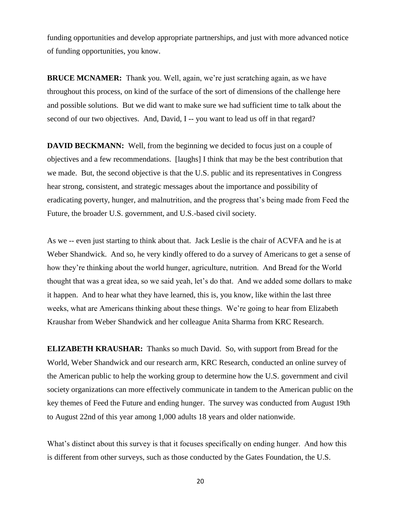funding opportunities and develop appropriate partnerships, and just with more advanced notice of funding opportunities, you know.

**BRUCE MCNAMER:** Thank you. Well, again, we're just scratching again, as we have throughout this process, on kind of the surface of the sort of dimensions of the challenge here and possible solutions. But we did want to make sure we had sufficient time to talk about the second of our two objectives. And, David, I -- you want to lead us off in that regard?

**DAVID BECKMANN:** Well, from the beginning we decided to focus just on a couple of objectives and a few recommendations. [laughs] I think that may be the best contribution that we made. But, the second objective is that the U.S. public and its representatives in Congress hear strong, consistent, and strategic messages about the importance and possibility of eradicating poverty, hunger, and malnutrition, and the progress that's being made from Feed the Future, the broader U.S. government, and U.S.-based civil society.

As we -- even just starting to think about that. Jack Leslie is the chair of ACVFA and he is at Weber Shandwick. And so, he very kindly offered to do a survey of Americans to get a sense of how they're thinking about the world hunger, agriculture, nutrition. And Bread for the World thought that was a great idea, so we said yeah, let's do that. And we added some dollars to make it happen. And to hear what they have learned, this is, you know, like within the last three weeks, what are Americans thinking about these things. We're going to hear from Elizabeth Kraushar from Weber Shandwick and her colleague Anita Sharma from KRC Research.

**ELIZABETH KRAUSHAR:** Thanks so much David. So, with support from Bread for the World, Weber Shandwick and our research arm, KRC Research, conducted an online survey of the American public to help the working group to determine how the U.S. government and civil society organizations can more effectively communicate in tandem to the American public on the key themes of Feed the Future and ending hunger. The survey was conducted from August 19th to August 22nd of this year among 1,000 adults 18 years and older nationwide.

What's distinct about this survey is that it focuses specifically on ending hunger. And how this is different from other surveys, such as those conducted by the Gates Foundation, the U.S.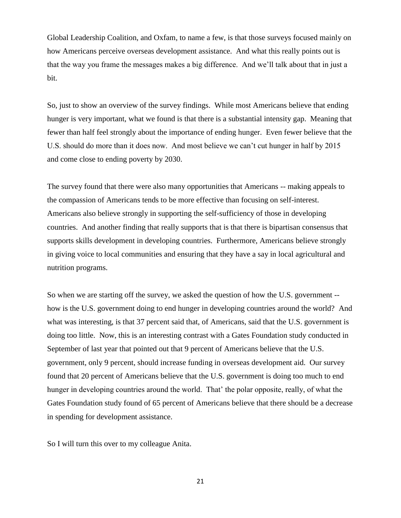Global Leadership Coalition, and Oxfam, to name a few, is that those surveys focused mainly on how Americans perceive overseas development assistance. And what this really points out is that the way you frame the messages makes a big difference. And we'll talk about that in just a bit.

So, just to show an overview of the survey findings. While most Americans believe that ending hunger is very important, what we found is that there is a substantial intensity gap. Meaning that fewer than half feel strongly about the importance of ending hunger. Even fewer believe that the U.S. should do more than it does now. And most believe we can't cut hunger in half by 2015 and come close to ending poverty by 2030.

The survey found that there were also many opportunities that Americans -- making appeals to the compassion of Americans tends to be more effective than focusing on self-interest. Americans also believe strongly in supporting the self-sufficiency of those in developing countries. And another finding that really supports that is that there is bipartisan consensus that supports skills development in developing countries. Furthermore, Americans believe strongly in giving voice to local communities and ensuring that they have a say in local agricultural and nutrition programs.

So when we are starting off the survey, we asked the question of how the U.S. government - how is the U.S. government doing to end hunger in developing countries around the world? And what was interesting, is that 37 percent said that, of Americans, said that the U.S. government is doing too little. Now, this is an interesting contrast with a Gates Foundation study conducted in September of last year that pointed out that 9 percent of Americans believe that the U.S. government, only 9 percent, should increase funding in overseas development aid. Our survey found that 20 percent of Americans believe that the U.S. government is doing too much to end hunger in developing countries around the world. That' the polar opposite, really, of what the Gates Foundation study found of 65 percent of Americans believe that there should be a decrease in spending for development assistance.

So I will turn this over to my colleague Anita.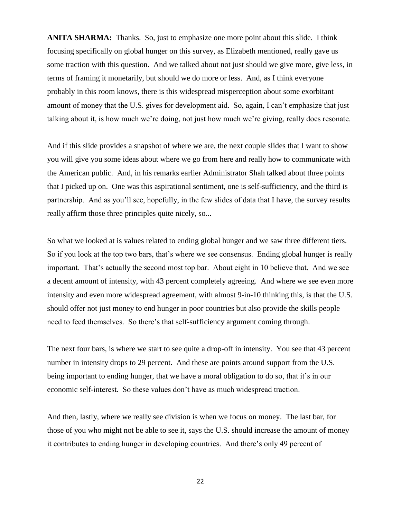**ANITA SHARMA:** Thanks. So, just to emphasize one more point about this slide. I think focusing specifically on global hunger on this survey, as Elizabeth mentioned, really gave us some traction with this question. And we talked about not just should we give more, give less, in terms of framing it monetarily, but should we do more or less. And, as I think everyone probably in this room knows, there is this widespread misperception about some exorbitant amount of money that the U.S. gives for development aid. So, again, I can't emphasize that just talking about it, is how much we're doing, not just how much we're giving, really does resonate.

And if this slide provides a snapshot of where we are, the next couple slides that I want to show you will give you some ideas about where we go from here and really how to communicate with the American public. And, in his remarks earlier Administrator Shah talked about three points that I picked up on. One was this aspirational sentiment, one is self-sufficiency, and the third is partnership. And as you'll see, hopefully, in the few slides of data that I have, the survey results really affirm those three principles quite nicely, so...

So what we looked at is values related to ending global hunger and we saw three different tiers. So if you look at the top two bars, that's where we see consensus. Ending global hunger is really important. That's actually the second most top bar. About eight in 10 believe that. And we see a decent amount of intensity, with 43 percent completely agreeing. And where we see even more intensity and even more widespread agreement, with almost 9-in-10 thinking this, is that the U.S. should offer not just money to end hunger in poor countries but also provide the skills people need to feed themselves. So there's that self-sufficiency argument coming through.

The next four bars, is where we start to see quite a drop-off in intensity. You see that 43 percent number in intensity drops to 29 percent. And these are points around support from the U.S. being important to ending hunger, that we have a moral obligation to do so, that it's in our economic self-interest. So these values don't have as much widespread traction.

And then, lastly, where we really see division is when we focus on money. The last bar, for those of you who might not be able to see it, says the U.S. should increase the amount of money it contributes to ending hunger in developing countries. And there's only 49 percent of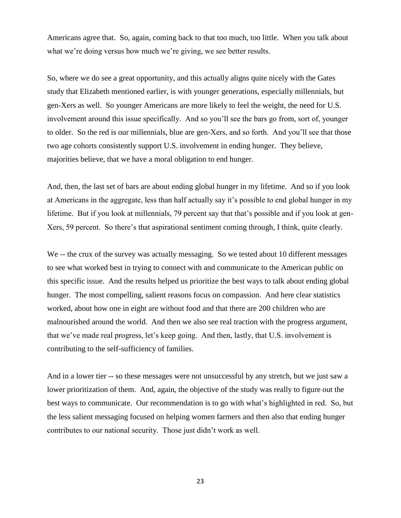Americans agree that. So, again, coming back to that too much, too little. When you talk about what we're doing versus how much we're giving, we see better results.

So, where we do see a great opportunity, and this actually aligns quite nicely with the Gates study that Elizabeth mentioned earlier, is with younger generations, especially millennials, but gen-Xers as well. So younger Americans are more likely to feel the weight, the need for U.S. involvement around this issue specifically. And so you'll see the bars go from, sort of, younger to older. So the red is our millennials, blue are gen-Xers, and so forth. And you'll see that those two age cohorts consistently support U.S. involvement in ending hunger. They believe, majorities believe, that we have a moral obligation to end hunger.

And, then, the last set of bars are about ending global hunger in my lifetime. And so if you look at Americans in the aggregate, less than half actually say it's possible to end global hunger in my lifetime. But if you look at millennials, 79 percent say that that's possible and if you look at gen-Xers, 59 percent. So there's that aspirational sentiment coming through, I think, quite clearly.

We -- the crux of the survey was actually messaging. So we tested about 10 different messages to see what worked best in trying to connect with and communicate to the American public on this specific issue. And the results helped us prioritize the best ways to talk about ending global hunger. The most compelling, salient reasons focus on compassion. And here clear statistics worked, about how one in eight are without food and that there are 200 children who are malnourished around the world. And then we also see real traction with the progress argument, that we've made real progress, let's keep going. And then, lastly, that U.S. involvement is contributing to the self-sufficiency of families.

And in a lower tier -- so these messages were not unsuccessful by any stretch, but we just saw a lower prioritization of them. And, again, the objective of the study was really to figure out the best ways to communicate. Our recommendation is to go with what's highlighted in red. So, but the less salient messaging focused on helping women farmers and then also that ending hunger contributes to our national security. Those just didn't work as well.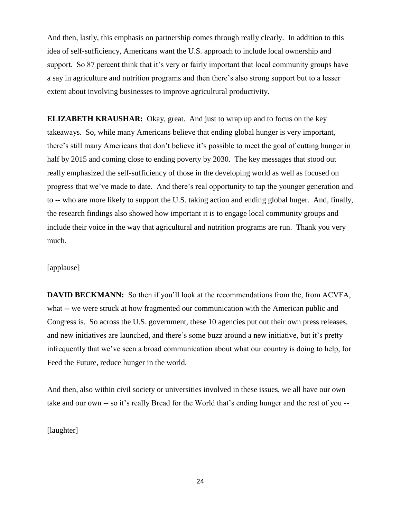And then, lastly, this emphasis on partnership comes through really clearly. In addition to this idea of self-sufficiency, Americans want the U.S. approach to include local ownership and support. So 87 percent think that it's very or fairly important that local community groups have a say in agriculture and nutrition programs and then there's also strong support but to a lesser extent about involving businesses to improve agricultural productivity.

**ELIZABETH KRAUSHAR:** Okay, great. And just to wrap up and to focus on the key takeaways. So, while many Americans believe that ending global hunger is very important, there's still many Americans that don't believe it's possible to meet the goal of cutting hunger in half by 2015 and coming close to ending poverty by 2030. The key messages that stood out really emphasized the self-sufficiency of those in the developing world as well as focused on progress that we've made to date. And there's real opportunity to tap the younger generation and to -- who are more likely to support the U.S. taking action and ending global huger. And, finally, the research findings also showed how important it is to engage local community groups and include their voice in the way that agricultural and nutrition programs are run. Thank you very much.

## [applause]

**DAVID BECKMANN:** So then if you'll look at the recommendations from the, from ACVFA, what -- we were struck at how fragmented our communication with the American public and Congress is. So across the U.S. government, these 10 agencies put out their own press releases, and new initiatives are launched, and there's some buzz around a new initiative, but it's pretty infrequently that we've seen a broad communication about what our country is doing to help, for Feed the Future, reduce hunger in the world.

And then, also within civil society or universities involved in these issues, we all have our own take and our own -- so it's really Bread for the World that's ending hunger and the rest of you --

[laughter]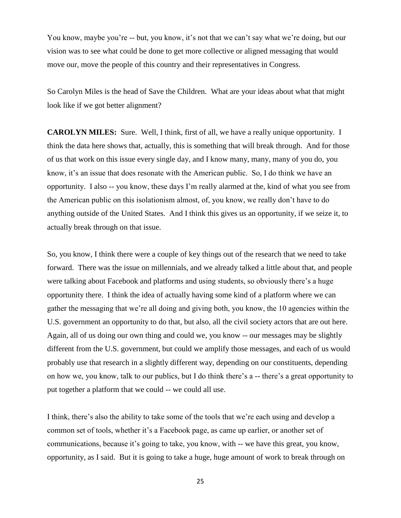You know, maybe you're -- but, you know, it's not that we can't say what we're doing, but our vision was to see what could be done to get more collective or aligned messaging that would move our, move the people of this country and their representatives in Congress.

So Carolyn Miles is the head of Save the Children. What are your ideas about what that might look like if we got better alignment?

**CAROLYN MILES:** Sure. Well, I think, first of all, we have a really unique opportunity. I think the data here shows that, actually, this is something that will break through. And for those of us that work on this issue every single day, and I know many, many, many of you do, you know, it's an issue that does resonate with the American public. So, I do think we have an opportunity. I also -- you know, these days I'm really alarmed at the, kind of what you see from the American public on this isolationism almost, of, you know, we really don't have to do anything outside of the United States. And I think this gives us an opportunity, if we seize it, to actually break through on that issue.

So, you know, I think there were a couple of key things out of the research that we need to take forward. There was the issue on millennials, and we already talked a little about that, and people were talking about Facebook and platforms and using students, so obviously there's a huge opportunity there. I think the idea of actually having some kind of a platform where we can gather the messaging that we're all doing and giving both, you know, the 10 agencies within the U.S. government an opportunity to do that, but also, all the civil society actors that are out here. Again, all of us doing our own thing and could we, you know -- our messages may be slightly different from the U.S. government, but could we amplify those messages, and each of us would probably use that research in a slightly different way, depending on our constituents, depending on how we, you know, talk to our publics, but I do think there's a -- there's a great opportunity to put together a platform that we could -- we could all use.

I think, there's also the ability to take some of the tools that we're each using and develop a common set of tools, whether it's a Facebook page, as came up earlier, or another set of communications, because it's going to take, you know, with -- we have this great, you know, opportunity, as I said. But it is going to take a huge, huge amount of work to break through on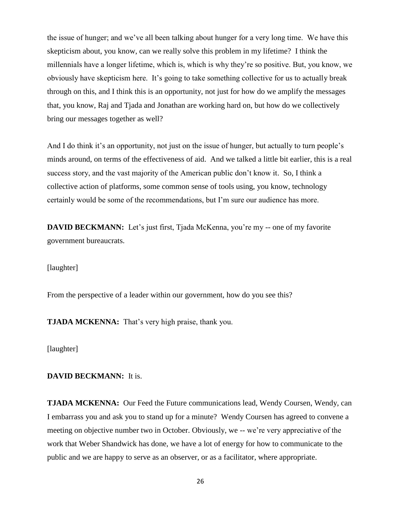the issue of hunger; and we've all been talking about hunger for a very long time. We have this skepticism about, you know, can we really solve this problem in my lifetime? I think the millennials have a longer lifetime, which is, which is why they're so positive. But, you know, we obviously have skepticism here. It's going to take something collective for us to actually break through on this, and I think this is an opportunity, not just for how do we amplify the messages that, you know, Raj and Tjada and Jonathan are working hard on, but how do we collectively bring our messages together as well?

And I do think it's an opportunity, not just on the issue of hunger, but actually to turn people's minds around, on terms of the effectiveness of aid. And we talked a little bit earlier, this is a real success story, and the vast majority of the American public don't know it. So, I think a collective action of platforms, some common sense of tools using, you know, technology certainly would be some of the recommendations, but I'm sure our audience has more.

**DAVID BECKMANN:** Let's just first, Tjada McKenna, you're my -- one of my favorite government bureaucrats.

[laughter]

From the perspective of a leader within our government, how do you see this?

**TJADA MCKENNA:** That's very high praise, thank you.

[laughter]

### **DAVID BECKMANN:** It is.

**TJADA MCKENNA:** Our Feed the Future communications lead, Wendy Coursen, Wendy, can I embarrass you and ask you to stand up for a minute? Wendy Coursen has agreed to convene a meeting on objective number two in October. Obviously, we -- we're very appreciative of the work that Weber Shandwick has done, we have a lot of energy for how to communicate to the public and we are happy to serve as an observer, or as a facilitator, where appropriate.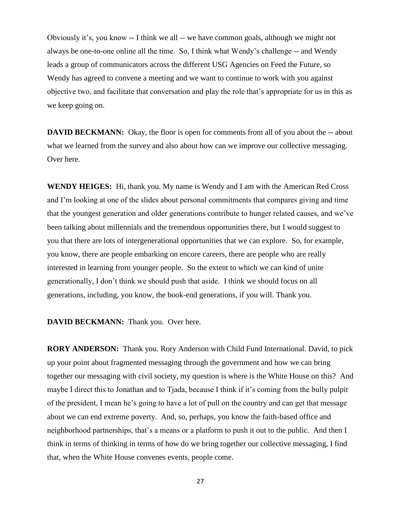Obviously it's, you know -- I think we all -- we have common goals, although we might not always be one-to-one online all the time. So, I think what Wendy's challenge -- and Wendy leads a group of communicators across the different USG Agencies on Feed the Future, so Wendy has agreed to convene a meeting and we want to continue to work with you against objective two, and facilitate that conversation and play the role that's appropriate for us in this as we keep going on.

**DAVID BECKMANN:** Okay, the floor is open for comments from all of you about the -- about what we learned from the survey and also about how can we improve our collective messaging. Over here.

**WENDY HEIGES:** Hi, thank you. My name is Wendy and I am with the American Red Cross and I'm looking at one of the slides about personal commitments that compares giving and time that the youngest generation and older generations contribute to hunger related causes, and we've been talking about millennials and the tremendous opportunities there, but I would suggest to you that there are lots of intergenerational opportunities that we can explore. So, for example, you know, there are people embarking on encore careers, there are people who are really interested in learning from younger people. So the extent to which we can kind of unite generationally, I don't think we should push that aside. I think we should focus on all generations, including, you know, the book-end generations, if you will. Thank you.

**DAVID BECKMANN:** Thank you. Over here.

**RORY ANDERSON:** Thank you. Rory Anderson with Child Fund International. David, to pick up your point about fragmented messaging through the government and how we can bring together our messaging with civil society, my question is where is the White House on this? And maybe I direct this to Jonathan and to Tjada, because I think if it's coming from the bully pulpit of the president, I mean he's going to have a lot of pull on the country and can get that message about we can end extreme poverty. And, so, perhaps, you know the faith-based office and neighborhood partnerships, that's a means or a platform to push it out to the public. And then I think in terms of thinking in terms of how do we bring together our collective messaging, I find that, when the White House convenes events, people come.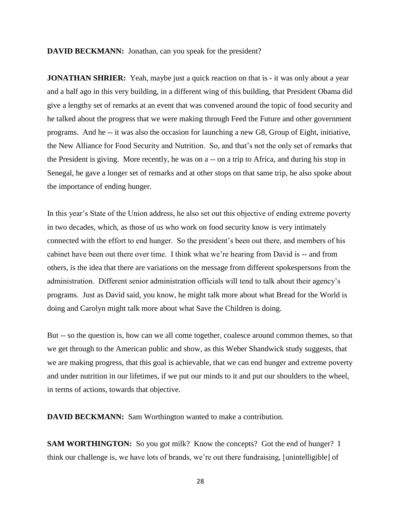**DAVID BECKMANN:** Jonathan, can you speak for the president?

**JONATHAN SHRIER:** Yeah, maybe just a quick reaction on that is - it was only about a year and a half ago in this very building, in a different wing of this building, that President Obama did give a lengthy set of remarks at an event that was convened around the topic of food security and he talked about the progress that we were making through Feed the Future and other government programs. And he -- it was also the occasion for launching a new G8, Group of Eight, initiative, the New Alliance for Food Security and Nutrition. So, and that's not the only set of remarks that the President is giving. More recently, he was on a -- on a trip to Africa, and during his stop in Senegal, he gave a longer set of remarks and at other stops on that same trip, he also spoke about the importance of ending hunger.

In this year's State of the Union address, he also set out this objective of ending extreme poverty in two decades, which, as those of us who work on food security know is very intimately connected with the effort to end hunger. So the president's been out there, and members of his cabinet have been out there over time. I think what we're hearing from David is -- and from others, is the idea that there are variations on the message from different spokespersons from the administration. Different senior administration officials will tend to talk about their agency's programs. Just as David said, you know, he might talk more about what Bread for the World is doing and Carolyn might talk more about what Save the Children is doing.

But -- so the question is, how can we all come together, coalesce around common themes, so that we get through to the American public and show, as this Weber Shandwick study suggests, that we are making progress, that this goal is achievable, that we can end hunger and extreme poverty and under nutrition in our lifetimes, if we put our minds to it and put our shoulders to the wheel, in terms of actions, towards that objective.

**DAVID BECKMANN:** Sam Worthington wanted to make a contribution.

**SAM WORTHINGTON:** So you got milk? Know the concepts? Got the end of hunger? I think our challenge is, we have lots of brands, we're out there fundraising, [unintelligible] of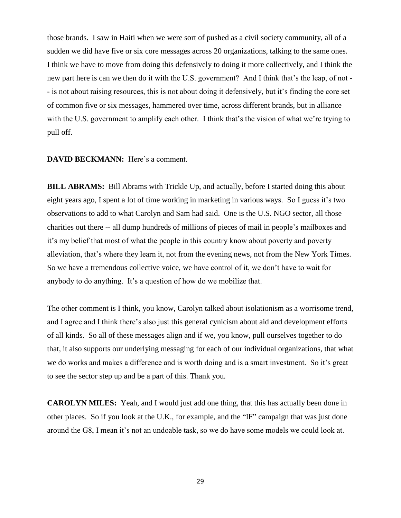those brands. I saw in Haiti when we were sort of pushed as a civil society community, all of a sudden we did have five or six core messages across 20 organizations, talking to the same ones. I think we have to move from doing this defensively to doing it more collectively, and I think the new part here is can we then do it with the U.S. government? And I think that's the leap, of not - - is not about raising resources, this is not about doing it defensively, but it's finding the core set of common five or six messages, hammered over time, across different brands, but in alliance with the U.S. government to amplify each other. I think that's the vision of what we're trying to pull off.

#### **DAVID BECKMANN:** Here's a comment.

**BILL ABRAMS:** Bill Abrams with Trickle Up, and actually, before I started doing this about eight years ago, I spent a lot of time working in marketing in various ways. So I guess it's two observations to add to what Carolyn and Sam had said. One is the U.S. NGO sector, all those charities out there -- all dump hundreds of millions of pieces of mail in people's mailboxes and it's my belief that most of what the people in this country know about poverty and poverty alleviation, that's where they learn it, not from the evening news, not from the New York Times. So we have a tremendous collective voice, we have control of it, we don't have to wait for anybody to do anything. It's a question of how do we mobilize that.

The other comment is I think, you know, Carolyn talked about isolationism as a worrisome trend, and I agree and I think there's also just this general cynicism about aid and development efforts of all kinds. So all of these messages align and if we, you know, pull ourselves together to do that, it also supports our underlying messaging for each of our individual organizations, that what we do works and makes a difference and is worth doing and is a smart investment. So it's great to see the sector step up and be a part of this. Thank you.

**CAROLYN MILES:** Yeah, and I would just add one thing, that this has actually been done in other places. So if you look at the U.K., for example, and the "IF" campaign that was just done around the G8, I mean it's not an undoable task, so we do have some models we could look at.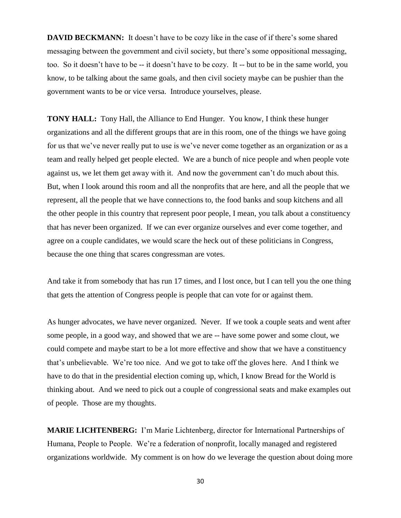**DAVID BECKMANN:** It doesn't have to be cozy like in the case of if there's some shared messaging between the government and civil society, but there's some oppositional messaging, too. So it doesn't have to be -- it doesn't have to be cozy. It -- but to be in the same world, you know, to be talking about the same goals, and then civil society maybe can be pushier than the government wants to be or vice versa. Introduce yourselves, please.

**TONY HALL:** Tony Hall, the Alliance to End Hunger. You know, I think these hunger organizations and all the different groups that are in this room, one of the things we have going for us that we've never really put to use is we've never come together as an organization or as a team and really helped get people elected. We are a bunch of nice people and when people vote against us, we let them get away with it. And now the government can't do much about this. But, when I look around this room and all the nonprofits that are here, and all the people that we represent, all the people that we have connections to, the food banks and soup kitchens and all the other people in this country that represent poor people, I mean, you talk about a constituency that has never been organized. If we can ever organize ourselves and ever come together, and agree on a couple candidates, we would scare the heck out of these politicians in Congress, because the one thing that scares congressman are votes.

And take it from somebody that has run 17 times, and I lost once, but I can tell you the one thing that gets the attention of Congress people is people that can vote for or against them.

As hunger advocates, we have never organized. Never. If we took a couple seats and went after some people, in a good way, and showed that we are -- have some power and some clout, we could compete and maybe start to be a lot more effective and show that we have a constituency that's unbelievable. We're too nice. And we got to take off the gloves here. And I think we have to do that in the presidential election coming up, which, I know Bread for the World is thinking about. And we need to pick out a couple of congressional seats and make examples out of people. Those are my thoughts.

**MARIE LICHTENBERG:** I'm Marie Lichtenberg, director for International Partnerships of Humana, People to People. We're a federation of nonprofit, locally managed and registered organizations worldwide. My comment is on how do we leverage the question about doing more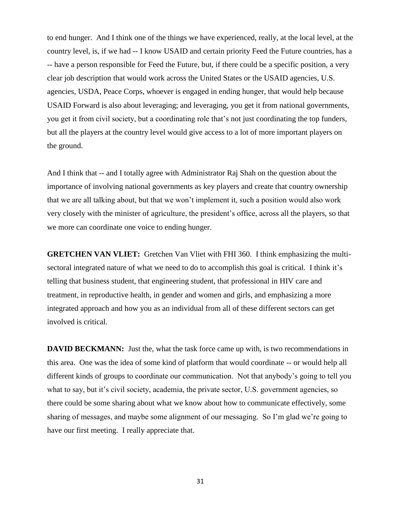to end hunger. And I think one of the things we have experienced, really, at the local level, at the country level, is, if we had -- I know USAID and certain priority Feed the Future countries, has a -- have a person responsible for Feed the Future, but, if there could be a specific position, a very clear job description that would work across the United States or the USAID agencies, U.S. agencies, USDA, Peace Corps, whoever is engaged in ending hunger, that would help because USAID Forward is also about leveraging; and leveraging, you get it from national governments, you get it from civil society, but a coordinating role that's not just coordinating the top funders, but all the players at the country level would give access to a lot of more important players on the ground.

And I think that -- and I totally agree with Administrator Raj Shah on the question about the importance of involving national governments as key players and create that country ownership that we are all talking about, but that we won't implement it, such a position would also work very closely with the minister of agriculture, the president's office, across all the players, so that we more can coordinate one voice to ending hunger.

**GRETCHEN VAN VLIET:** Gretchen Van Vliet with FHI 360. I think emphasizing the multisectoral integrated nature of what we need to do to accomplish this goal is critical. I think it's telling that business student, that engineering student, that professional in HIV care and treatment, in reproductive health, in gender and women and girls, and emphasizing a more integrated approach and how you as an individual from all of these different sectors can get involved is critical.

**DAVID BECKMANN:** Just the, what the task force came up with, is two recommendations in this area. One was the idea of some kind of platform that would coordinate -- or would help all different kinds of groups to coordinate our communication. Not that anybody's going to tell you what to say, but it's civil society, academia, the private sector, U.S. government agencies, so there could be some sharing about what we know about how to communicate effectively, some sharing of messages, and maybe some alignment of our messaging. So I'm glad we're going to have our first meeting. I really appreciate that.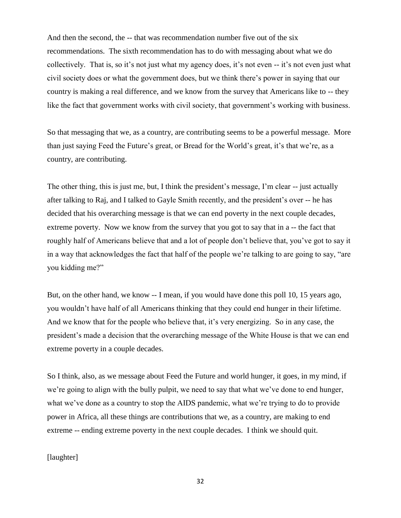And then the second, the -- that was recommendation number five out of the six recommendations. The sixth recommendation has to do with messaging about what we do collectively. That is, so it's not just what my agency does, it's not even -- it's not even just what civil society does or what the government does, but we think there's power in saying that our country is making a real difference, and we know from the survey that Americans like to -- they like the fact that government works with civil society, that government's working with business.

So that messaging that we, as a country, are contributing seems to be a powerful message. More than just saying Feed the Future's great, or Bread for the World's great, it's that we're, as a country, are contributing.

The other thing, this is just me, but, I think the president's message, I'm clear -- just actually after talking to Raj, and I talked to Gayle Smith recently, and the president's over -- he has decided that his overarching message is that we can end poverty in the next couple decades, extreme poverty. Now we know from the survey that you got to say that in a -- the fact that roughly half of Americans believe that and a lot of people don't believe that, you've got to say it in a way that acknowledges the fact that half of the people we're talking to are going to say, "are you kidding me?"

But, on the other hand, we know -- I mean, if you would have done this poll 10, 15 years ago, you wouldn't have half of all Americans thinking that they could end hunger in their lifetime. And we know that for the people who believe that, it's very energizing. So in any case, the president's made a decision that the overarching message of the White House is that we can end extreme poverty in a couple decades.

So I think, also, as we message about Feed the Future and world hunger, it goes, in my mind, if we're going to align with the bully pulpit, we need to say that what we've done to end hunger, what we've done as a country to stop the AIDS pandemic, what we're trying to do to provide power in Africa, all these things are contributions that we, as a country, are making to end extreme -- ending extreme poverty in the next couple decades. I think we should quit.

[laughter]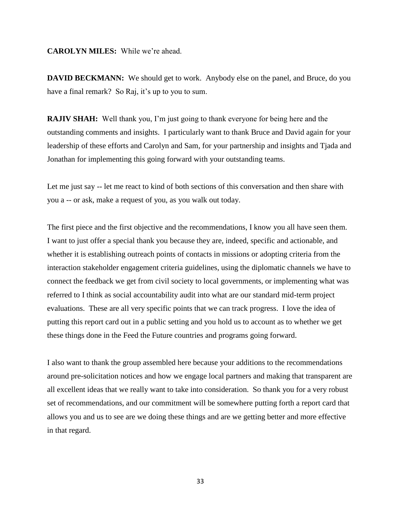# **CAROLYN MILES:** While we're ahead.

**DAVID BECKMANN:** We should get to work. Anybody else on the panel, and Bruce, do you have a final remark? So Raj, it's up to you to sum.

**RAJIV SHAH:** Well thank you, I'm just going to thank everyone for being here and the outstanding comments and insights. I particularly want to thank Bruce and David again for your leadership of these efforts and Carolyn and Sam, for your partnership and insights and Tjada and Jonathan for implementing this going forward with your outstanding teams.

Let me just say -- let me react to kind of both sections of this conversation and then share with you a -- or ask, make a request of you, as you walk out today.

The first piece and the first objective and the recommendations, I know you all have seen them. I want to just offer a special thank you because they are, indeed, specific and actionable, and whether it is establishing outreach points of contacts in missions or adopting criteria from the interaction stakeholder engagement criteria guidelines, using the diplomatic channels we have to connect the feedback we get from civil society to local governments, or implementing what was referred to I think as social accountability audit into what are our standard mid-term project evaluations. These are all very specific points that we can track progress. I love the idea of putting this report card out in a public setting and you hold us to account as to whether we get these things done in the Feed the Future countries and programs going forward.

I also want to thank the group assembled here because your additions to the recommendations around pre-solicitation notices and how we engage local partners and making that transparent are all excellent ideas that we really want to take into consideration. So thank you for a very robust set of recommendations, and our commitment will be somewhere putting forth a report card that allows you and us to see are we doing these things and are we getting better and more effective in that regard.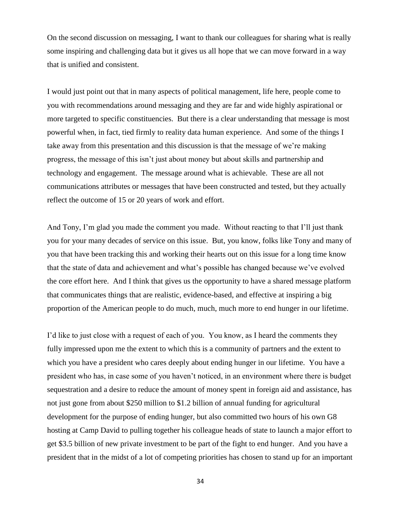On the second discussion on messaging, I want to thank our colleagues for sharing what is really some inspiring and challenging data but it gives us all hope that we can move forward in a way that is unified and consistent.

I would just point out that in many aspects of political management, life here, people come to you with recommendations around messaging and they are far and wide highly aspirational or more targeted to specific constituencies. But there is a clear understanding that message is most powerful when, in fact, tied firmly to reality data human experience. And some of the things I take away from this presentation and this discussion is that the message of we're making progress, the message of this isn't just about money but about skills and partnership and technology and engagement. The message around what is achievable. These are all not communications attributes or messages that have been constructed and tested, but they actually reflect the outcome of 15 or 20 years of work and effort.

And Tony, I'm glad you made the comment you made. Without reacting to that I'll just thank you for your many decades of service on this issue. But, you know, folks like Tony and many of you that have been tracking this and working their hearts out on this issue for a long time know that the state of data and achievement and what's possible has changed because we've evolved the core effort here. And I think that gives us the opportunity to have a shared message platform that communicates things that are realistic, evidence-based, and effective at inspiring a big proportion of the American people to do much, much, much more to end hunger in our lifetime.

I'd like to just close with a request of each of you. You know, as I heard the comments they fully impressed upon me the extent to which this is a community of partners and the extent to which you have a president who cares deeply about ending hunger in our lifetime. You have a president who has, in case some of you haven't noticed, in an environment where there is budget sequestration and a desire to reduce the amount of money spent in foreign aid and assistance, has not just gone from about \$250 million to \$1.2 billion of annual funding for agricultural development for the purpose of ending hunger, but also committed two hours of his own G8 hosting at Camp David to pulling together his colleague heads of state to launch a major effort to get \$3.5 billion of new private investment to be part of the fight to end hunger. And you have a president that in the midst of a lot of competing priorities has chosen to stand up for an important